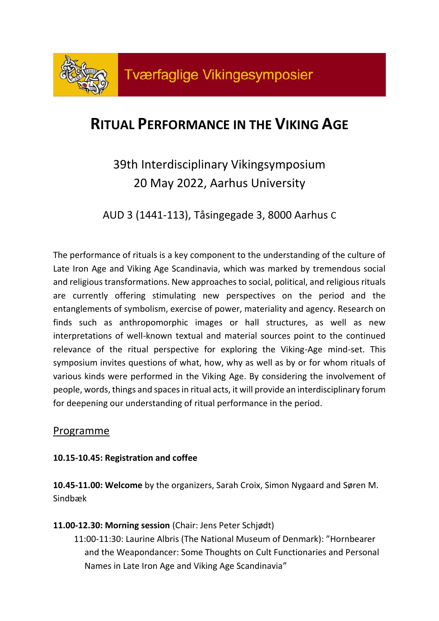

# **RITUAL PERFORMANCE IN THE VIKING AGE**

# 39th Interdisciplinary Vikingsymposium 20 May 2022, Aarhus University

AUD 3 (1441-113), Tåsingegade 3, 8000 Aarhus C

The performance of rituals is a key component to the understanding of the culture of Late Iron Age and Viking Age Scandinavia, which was marked by tremendous social and religious transformations. New approaches to social, political, and religious rituals are currently offering stimulating new perspectives on the period and the entanglements of symbolism, exercise of power, materiality and agency. Research on finds such as anthropomorphic images or hall structures, as well as new interpretations of well-known textual and material sources point to the continued relevance of the ritual perspective for exploring the Viking-Age mind-set. This symposium invites questions of what, how, why as well as by or for whom rituals of various kinds were performed in the Viking Age. By considering the involvement of people, words, things and spaces in ritual acts, it will provide an interdisciplinary forum for deepening our understanding of ritual performance in the period.

### Programme

### **10.15-10.45: Registration and coffee**

**10.45-11.00: Welcome** by the organizers, Sarah Croix, Simon Nygaard and Søren M. Sindbæk

**11.00-12.30: Morning session** (Chair: Jens Peter Schjødt)

11:00-11:30: Laurine Albris (The National Museum of Denmark): "Hornbearer and the Weapondancer: Some Thoughts on Cult Functionaries and Personal Names in Late Iron Age and Viking Age Scandinavia"